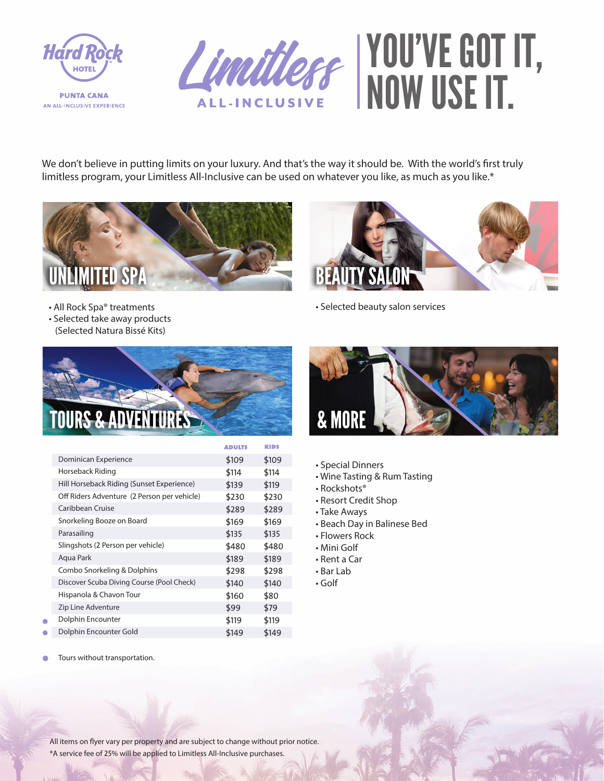



We don't believe in putting limits on your luxury. And that's the way it should be. With the world's first truly limitless program, your Limitless All-Inclusive can be used on whatever you like, as much as you like.\*





• All Rock Spa® treatments • Selected take away products

**ADVENTURES** 

(Selected Natura Bissé Kits)

Dominican Experience Horseback Riding

Caribbean Cruise

Parasailing

Aqua Park

٠

Snorkeling Booze on Board

Slingshots (2 Person per vehicle)

Combo Snorkeling & Dolphins

Hill Horseback Riding (Sunset Experience) Off Riders Adventure (2 Person per vehicle)

Discover Scuba Diving Course (Pool Check)



- Special Dinners
- Wine Tasting & Rum Tasting

• Selected beauty salon services

• Rockshots®

\$109 \$114 \$139 \$230 \$289 \$169 \$135 \$480 \$189 \$298 \$140 \$160 \$99 \$119 \$149

**ADULTS** 

\$109 \$114 \$119 \$230 \$289 \$169 \$135 \$480 \$189 \$298 \$140 \$80 \$79 \$119 \$149

KIDS

- Resort Credit Shop
- Take Aways
- Beach Day in Balinese Bed
- Flowers Rock
- Mini Golf
- Rent a Car
- Bar Lab
- Golf

Tours without transportation. $\bullet$ 

Hispanola & Chavon Tour Zip Line Adventure Dolphin Encounter Dolphin Encounter Gold

All items on flyer vary per property and are subject to change without prior notice. \*A service fee of 25% will be applied to Limitless All-Inclusive purchases.